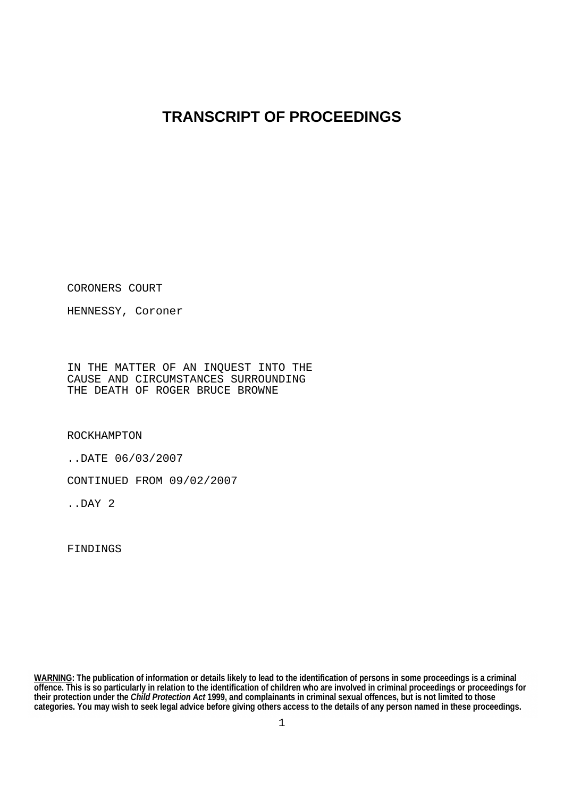# **TRANSCRIPT OF PROCEEDINGS**

CORONERS COURT

HENNESSY, Coroner

IN THE MATTER OF AN INQUEST INTO THE CAUSE AND CIRCUMSTANCES SURROUNDING THE DEATH OF ROGER BRUCE BROWNE

ROCKHAMPTON

..DATE 06/03/2007

CONTINUED FROM 09/02/2007

..DAY 2

FINDINGS

**WARNING: The publication of information or details likely to lead to the identification of persons in some proceedings is a criminal offence. This is so particularly in relation to the identification of children who are involved in criminal proceedings or proceedings for their protection under the** *Child Protection Act* **1999, and complainants in criminal sexual offences, but is not limited to those categories. You may wish to seek legal advice before giving others access to the details of any person named in these proceedings.**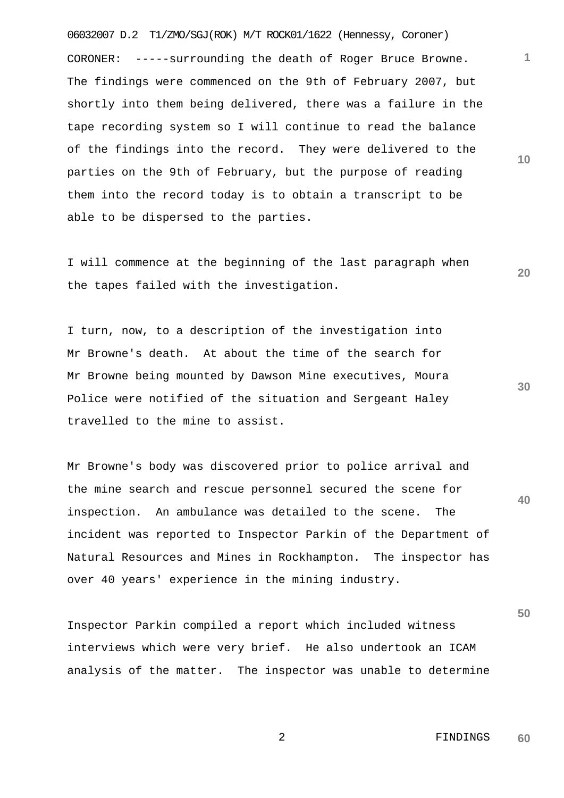06032007 D.2 T1/ZMO/SGJ(ROK) M/T ROCK01/1622 (Hennessy, Coroner) CORONER: -----surrounding the death of Roger Bruce Browne. The findings were commenced on the 9th of February 2007, but shortly into them being delivered, there was a failure in the tape recording system so I will continue to read the balance of the findings into the record. They were delivered to the parties on the 9th of February, but the purpose of reading them into the record today is to obtain a transcript to be able to be dispersed to the parties.

I will commence at the beginning of the last paragraph when the tapes failed with the investigation.

I turn, now, to a description of the investigation into Mr Browne's death. At about the time of the search for Mr Browne being mounted by Dawson Mine executives, Moura Police were notified of the situation and Sergeant Haley travelled to the mine to assist.

**40** Mr Browne's body was discovered prior to police arrival and the mine search and rescue personnel secured the scene for inspection. An ambulance was detailed to the scene. The incident was reported to Inspector Parkin of the Department of Natural Resources and Mines in Rockhampton. The inspector has over 40 years' experience in the mining industry.

Inspector Parkin compiled a report which included witness interviews which were very brief. He also undertook an ICAM analysis of the matter. The inspector was unable to determine **10**

**1**

**20**

**30**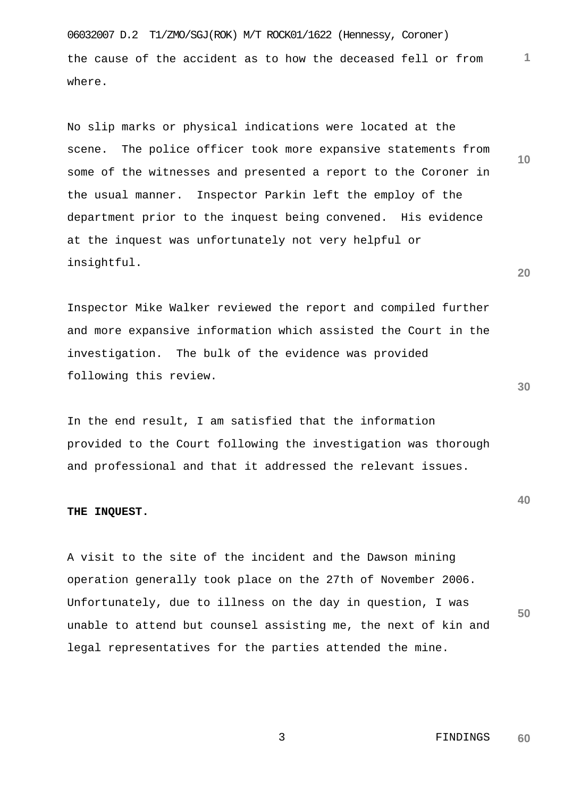06032007 D.2 T1/ZMO/SGJ(ROK) M/T ROCK01/1622 (Hennessy, Coroner) the cause of the accident as to how the deceased fell or from where.

No slip marks or physical indications were located at the scene. The police officer took more expansive statements from some of the witnesses and presented a report to the Coroner in the usual manner. Inspector Parkin left the employ of the department prior to the inquest being convened. His evidence at the inquest was unfortunately not very helpful or insightful.

Inspector Mike Walker reviewed the report and compiled further and more expansive information which assisted the Court in the investigation. The bulk of the evidence was provided following this review.

In the end result, I am satisfied that the information provided to the Court following the investigation was thorough and professional and that it addressed the relevant issues.

#### **THE INQUEST.**

**50** A visit to the site of the incident and the Dawson mining operation generally took place on the 27th of November 2006. Unfortunately, due to illness on the day in question, I was unable to attend but counsel assisting me, the next of kin and legal representatives for the parties attended the mine.

**20**

**10**

**1**

**30**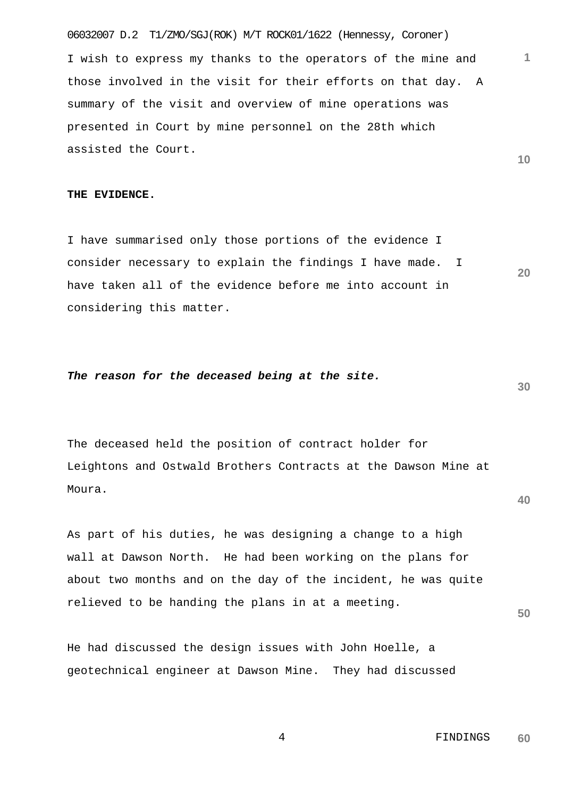06032007 D.2 T1/ZMO/SGJ(ROK) M/T ROCK01/1622 (Hennessy, Coroner) I wish to express my thanks to the operators of the mine and those involved in the visit for their efforts on that day. A summary of the visit and overview of mine operations was presented in Court by mine personnel on the 28th which assisted the Court.

# **THE EVIDENCE.**

I have summarised only those portions of the evidence I consider necessary to explain the findings I have made. I have taken all of the evidence before me into account in considering this matter.

# *The reason for the deceased being at the site.*

The deceased held the position of contract holder for Leightons and Ostwald Brothers Contracts at the Dawson Mine at Moura.

As part of his duties, he was designing a change to a high wall at Dawson North. He had been working on the plans for about two months and on the day of the incident, he was quite relieved to be handing the plans in at a meeting.

He had discussed the design issues with John Hoelle, a geotechnical engineer at Dawson Mine. They had discussed

> 4 FINDINGS **60**

**30**

**40**

**50**

**1**

**10**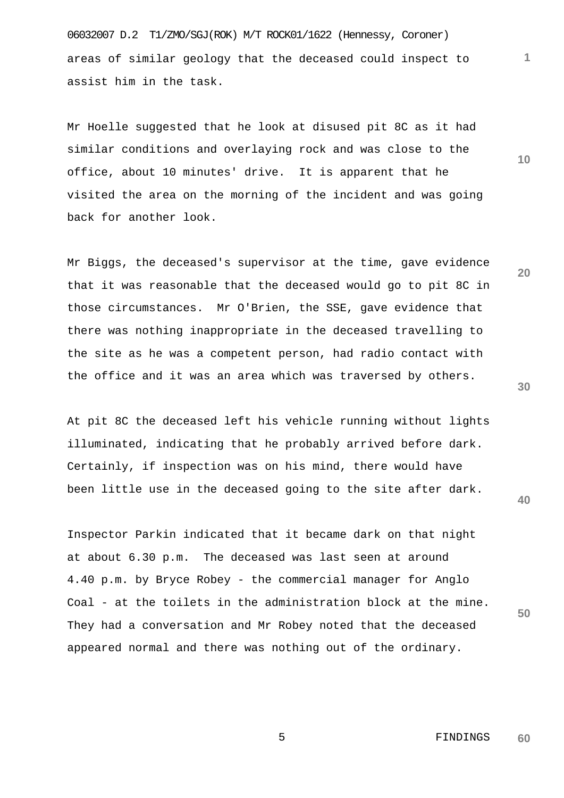06032007 D.2 T1/ZMO/SGJ(ROK) M/T ROCK01/1622 (Hennessy, Coroner) areas of similar geology that the deceased could inspect to assist him in the task.

Mr Hoelle suggested that he look at disused pit 8C as it had similar conditions and overlaying rock and was close to the office, about 10 minutes' drive. It is apparent that he visited the area on the morning of the incident and was going back for another look.

Mr Biggs, the deceased's supervisor at the time, gave evidence that it was reasonable that the deceased would go to pit 8C in those circumstances. Mr O'Brien, the SSE, gave evidence that there was nothing inappropriate in the deceased travelling to the site as he was a competent person, had radio contact with the office and it was an area which was traversed by others.

At pit 8C the deceased left his vehicle running without lights illuminated, indicating that he probably arrived before dark. Certainly, if inspection was on his mind, there would have been little use in the deceased going to the site after dark.

Inspector Parkin indicated that it became dark on that night at about 6.30 p.m. The deceased was last seen at around 4.40 p.m. by Bryce Robey - the commercial manager for Anglo Coal - at the toilets in the administration block at the mine. They had a conversation and Mr Robey noted that the deceased appeared normal and there was nothing out of the ordinary.

**10**

**1**

**20**

**40**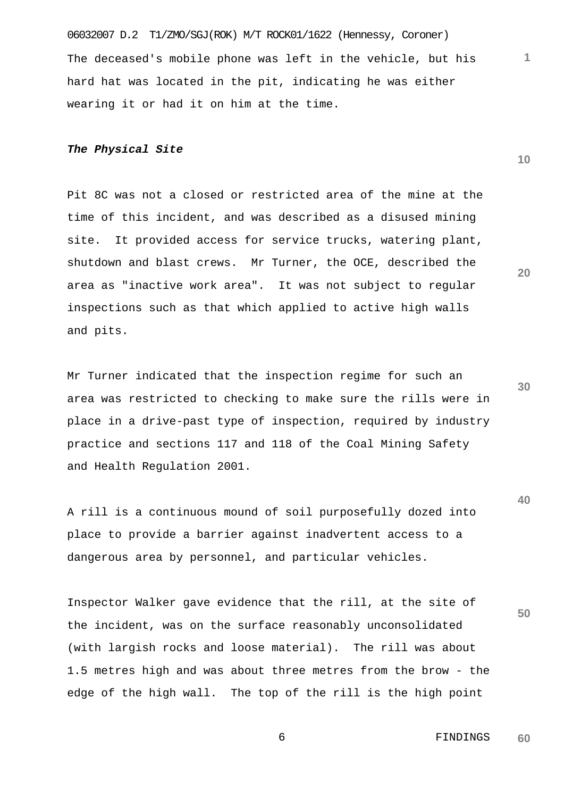06032007 D.2 T1/ZMO/SGJ(ROK) M/T ROCK01/1622 (Hennessy, Coroner) The deceased's mobile phone was left in the vehicle, but his hard hat was located in the pit, indicating he was either wearing it or had it on him at the time.

# *The Physical Site*

Pit 8C was not a closed or restricted area of the mine at the time of this incident, and was described as a disused mining site. It provided access for service trucks, watering plant, shutdown and blast crews. Mr Turner, the OCE, described the area as "inactive work area". It was not subject to regular inspections such as that which applied to active high walls and pits.

Mr Turner indicated that the inspection regime for such an area was restricted to checking to make sure the rills were in place in a drive-past type of inspection, required by industry practice and sections 117 and 118 of the Coal Mining Safety and Health Regulation 2001.

A rill is a continuous mound of soil purposefully dozed into place to provide a barrier against inadvertent access to a dangerous area by personnel, and particular vehicles.

**50** Inspector Walker gave evidence that the rill, at the site of the incident, was on the surface reasonably unconsolidated (with largish rocks and loose material). The rill was about 1.5 metres high and was about three metres from the brow - the edge of the high wall. The top of the rill is the high point

**20**

**1**

**10**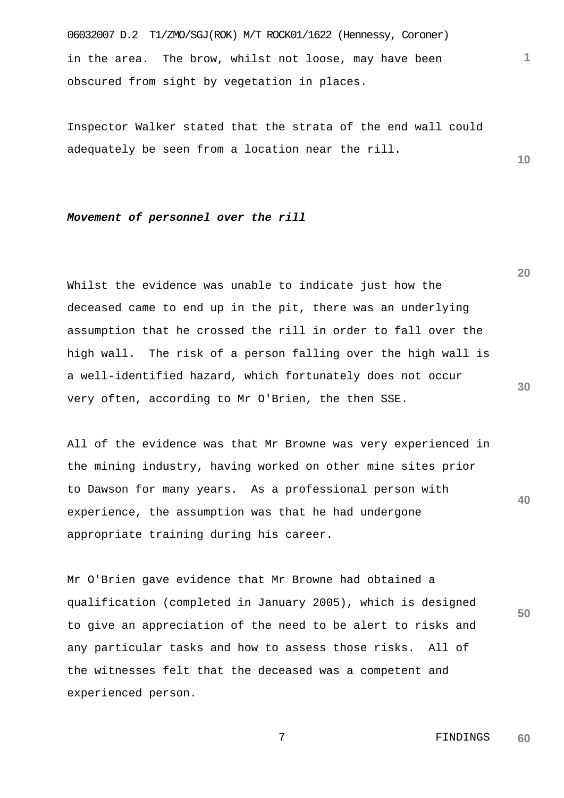06032007 D.2 T1/ZMO/SGJ(ROK) M/T ROCK01/1622 (Hennessy, Coroner) in the area. The brow, whilst not loose, may have been obscured from sight by vegetation in places.

Inspector Walker stated that the strata of the end wall could adequately be seen from a location near the rill.

#### *Movement of personnel over the rill*

Whilst the evidence was unable to indicate just how the deceased came to end up in the pit, there was an underlying assumption that he crossed the rill in order to fall over the high wall. The risk of a person falling over the high wall is a well-identified hazard, which fortunately does not occur very often, according to Mr O'Brien, the then SSE.

**40** All of the evidence was that Mr Browne was very experienced in the mining industry, having worked on other mine sites prior to Dawson for many years. As a professional person with experience, the assumption was that he had undergone appropriate training during his career.

Mr O'Brien gave evidence that Mr Browne had obtained a qualification (completed in January 2005), which is designed to give an appreciation of the need to be alert to risks and any particular tasks and how to assess those risks. All of the witnesses felt that the deceased was a competent and experienced person.

**20**

**1**

**10**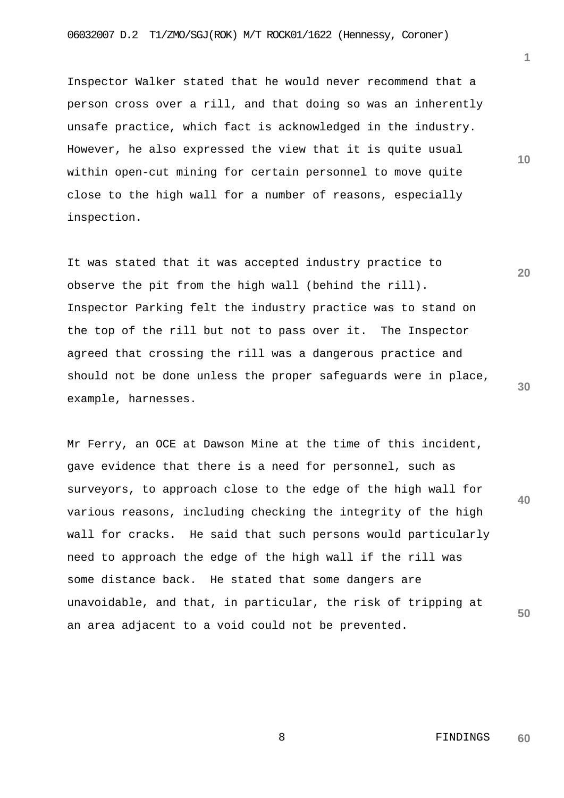Inspector Walker stated that he would never recommend that a person cross over a rill, and that doing so was an inherently unsafe practice, which fact is acknowledged in the industry. However, he also expressed the view that it is quite usual within open-cut mining for certain personnel to move quite close to the high wall for a number of reasons, especially inspection.

**20 30** It was stated that it was accepted industry practice to observe the pit from the high wall (behind the rill). Inspector Parking felt the industry practice was to stand on the top of the rill but not to pass over it. The Inspector agreed that crossing the rill was a dangerous practice and should not be done unless the proper safeguards were in place, example, harnesses.

**40 50** Mr Ferry, an OCE at Dawson Mine at the time of this incident, gave evidence that there is a need for personnel, such as surveyors, to approach close to the edge of the high wall for various reasons, including checking the integrity of the high wall for cracks. He said that such persons would particularly need to approach the edge of the high wall if the rill was some distance back. He stated that some dangers are unavoidable, and that, in particular, the risk of tripping at an area adjacent to a void could not be prevented.

> 8 FINDINGS **60**

**10**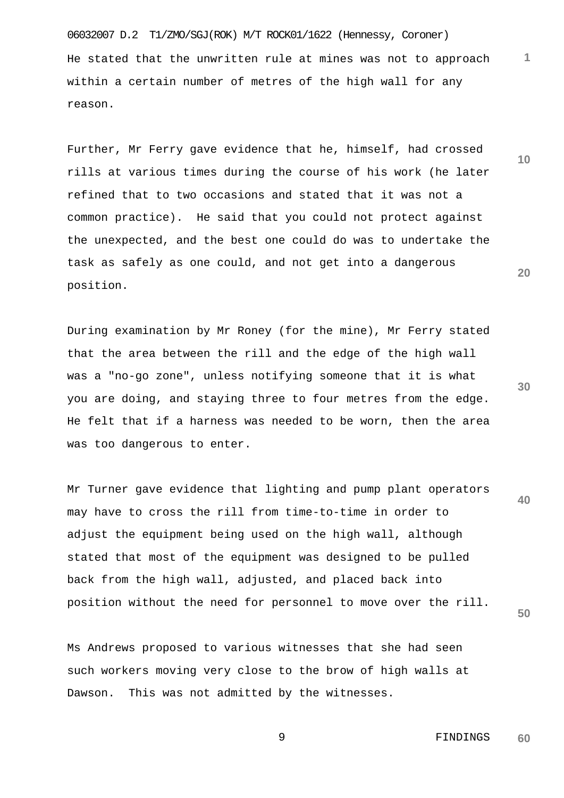06032007 D.2 T1/ZMO/SGJ(ROK) M/T ROCK01/1622 (Hennessy, Coroner) He stated that the unwritten rule at mines was not to approach within a certain number of metres of the high wall for any reason.

Further, Mr Ferry gave evidence that he, himself, had crossed rills at various times during the course of his work (he later refined that to two occasions and stated that it was not a common practice). He said that you could not protect against the unexpected, and the best one could do was to undertake the task as safely as one could, and not get into a dangerous position.

During examination by Mr Roney (for the mine), Mr Ferry stated that the area between the rill and the edge of the high wall was a "no-go zone", unless notifying someone that it is what you are doing, and staying three to four metres from the edge. He felt that if a harness was needed to be worn, then the area was too dangerous to enter.

**40 50** Mr Turner gave evidence that lighting and pump plant operators may have to cross the rill from time-to-time in order to adjust the equipment being used on the high wall, although stated that most of the equipment was designed to be pulled back from the high wall, adjusted, and placed back into position without the need for personnel to move over the rill.

Ms Andrews proposed to various witnesses that she had seen such workers moving very close to the brow of high walls at Dawson. This was not admitted by the witnesses.

**30**

**1**

**10**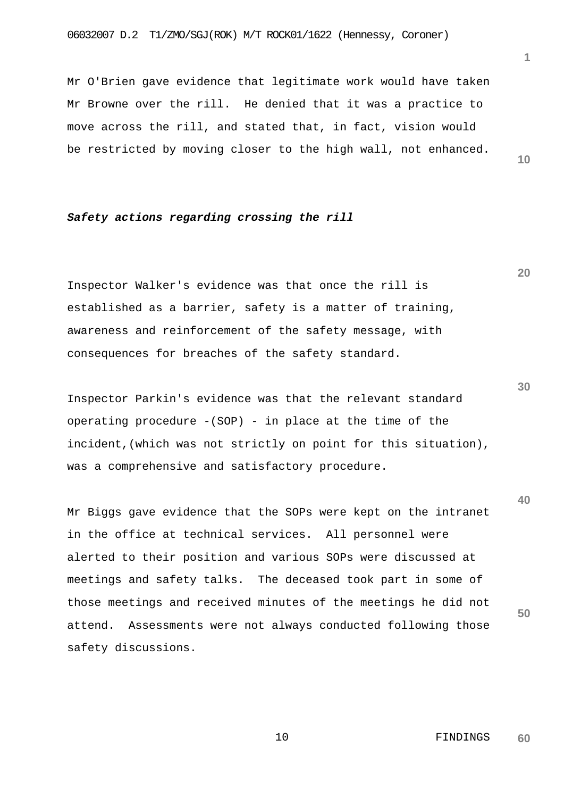Mr O'Brien gave evidence that legitimate work would have taken Mr Browne over the rill. He denied that it was a practice to move across the rill, and stated that, in fact, vision would be restricted by moving closer to the high wall, not enhanced.

# *Safety actions regarding crossing the rill*

Inspector Walker's evidence was that once the rill is established as a barrier, safety is a matter of training, awareness and reinforcement of the safety message, with consequences for breaches of the safety standard.

Inspector Parkin's evidence was that the relevant standard operating procedure  $-(SOP)$  - in place at the time of the incident,(which was not strictly on point for this situation), was a comprehensive and satisfactory procedure.

Mr Biggs gave evidence that the SOPs were kept on the intranet in the office at technical services. All personnel were alerted to their position and various SOPs were discussed at meetings and safety talks. The deceased took part in some of those meetings and received minutes of the meetings he did not attend. Assessments were not always conducted following those safety discussions.

**10**

**20**

**1**

**30**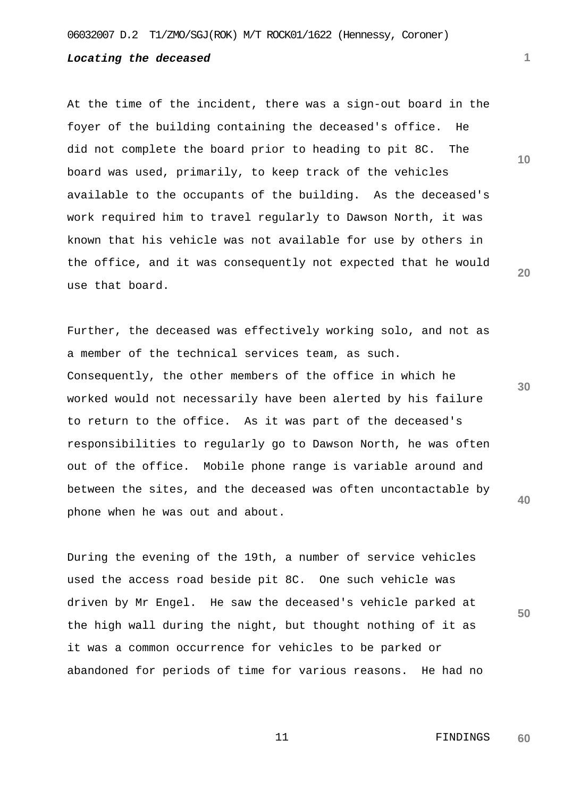# *Locating the deceased*

At the time of the incident, there was a sign-out board in the foyer of the building containing the deceased's office. He did not complete the board prior to heading to pit 8C. The board was used, primarily, to keep track of the vehicles available to the occupants of the building. As the deceased's work required him to travel regularly to Dawson North, it was known that his vehicle was not available for use by others in the office, and it was consequently not expected that he would use that board.

Further, the deceased was effectively working solo, and not as a member of the technical services team, as such. Consequently, the other members of the office in which he worked would not necessarily have been alerted by his failure to return to the office. As it was part of the deceased's responsibilities to regularly go to Dawson North, he was often out of the office. Mobile phone range is variable around and between the sites, and the deceased was often uncontactable by phone when he was out and about.

During the evening of the 19th, a number of service vehicles used the access road beside pit 8C. One such vehicle was driven by Mr Engel. He saw the deceased's vehicle parked at the high wall during the night, but thought nothing of it as it was a common occurrence for vehicles to be parked or abandoned for periods of time for various reasons. He had no **10**

**1**

**20**

**30**

**40**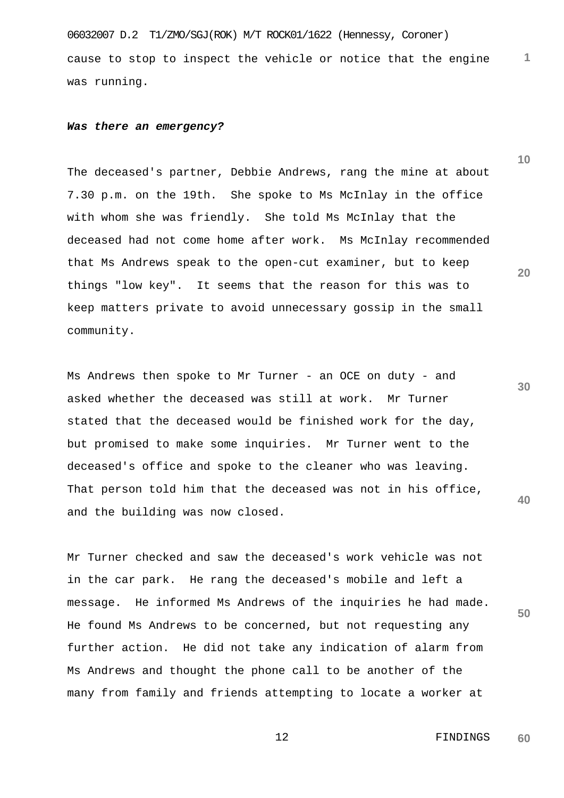06032007 D.2 T1/ZMO/SGJ(ROK) M/T ROCK01/1622 (Hennessy, Coroner) cause to stop to inspect the vehicle or notice that the engine was running.

#### *Was there an emergency?*

The deceased's partner, Debbie Andrews, rang the mine at about 7.30 p.m. on the 19th. She spoke to Ms McInlay in the office with whom she was friendly. She told Ms McInlay that the deceased had not come home after work. Ms McInlay recommended that Ms Andrews speak to the open-cut examiner, but to keep things "low key". It seems that the reason for this was to keep matters private to avoid unnecessary gossip in the small community.

**30 40** Ms Andrews then spoke to Mr Turner - an OCE on duty - and asked whether the deceased was still at work. Mr Turner stated that the deceased would be finished work for the day, but promised to make some inquiries. Mr Turner went to the deceased's office and spoke to the cleaner who was leaving. That person told him that the deceased was not in his office, and the building was now closed.

Mr Turner checked and saw the deceased's work vehicle was not in the car park. He rang the deceased's mobile and left a message. He informed Ms Andrews of the inquiries he had made. He found Ms Andrews to be concerned, but not requesting any further action. He did not take any indication of alarm from Ms Andrews and thought the phone call to be another of the many from family and friends attempting to locate a worker at

> 12 FINDINGS **60**

**50**

**1**

**10**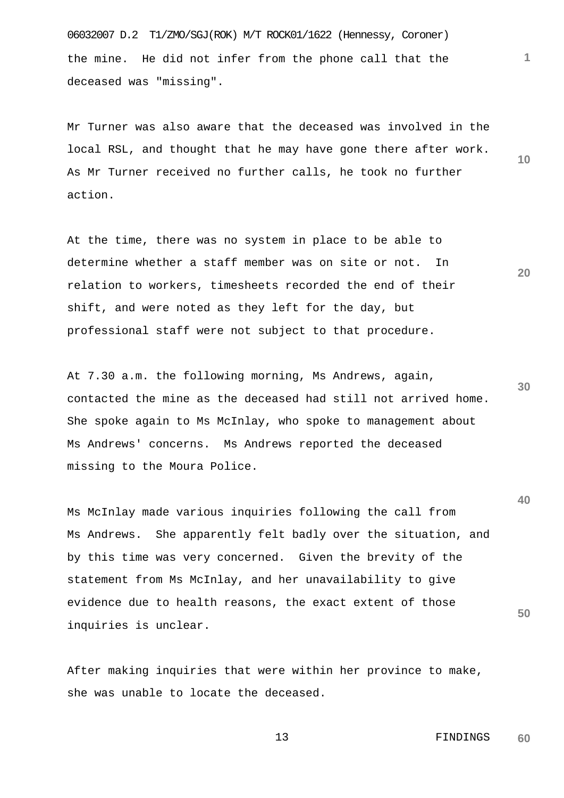06032007 D.2 T1/ZMO/SGJ(ROK) M/T ROCK01/1622 (Hennessy, Coroner) the mine. He did not infer from the phone call that the deceased was "missing".

**10** Mr Turner was also aware that the deceased was involved in the local RSL, and thought that he may have gone there after work. As Mr Turner received no further calls, he took no further action.

At the time, there was no system in place to be able to determine whether a staff member was on site or not. In relation to workers, timesheets recorded the end of their shift, and were noted as they left for the day, but professional staff were not subject to that procedure.

**30** At 7.30 a.m. the following morning, Ms Andrews, again, contacted the mine as the deceased had still not arrived home. She spoke again to Ms McInlay, who spoke to management about Ms Andrews' concerns. Ms Andrews reported the deceased missing to the Moura Police.

Ms McInlay made various inquiries following the call from Ms Andrews. She apparently felt badly over the situation, and by this time was very concerned. Given the brevity of the statement from Ms McInlay, and her unavailability to give evidence due to health reasons, the exact extent of those inquiries is unclear.

After making inquiries that were within her province to make, she was unable to locate the deceased.

> 13 FINDINGS **60**

**1**

**20**

**40**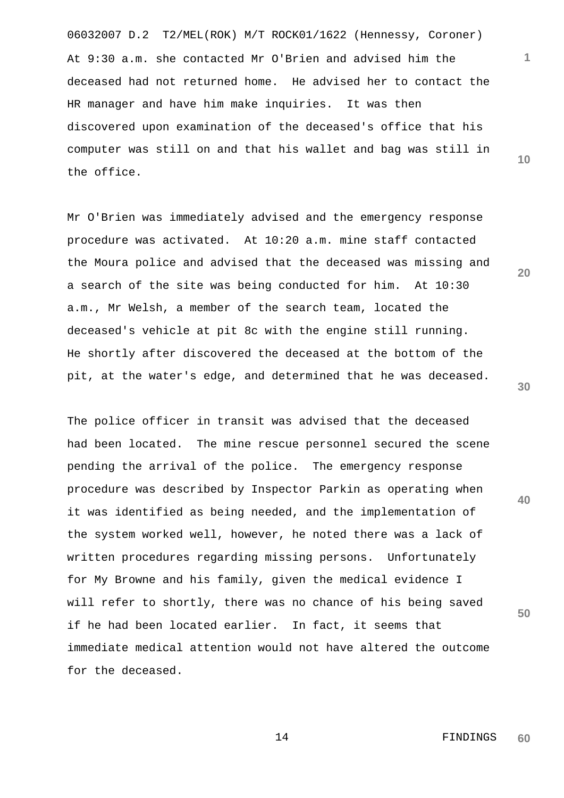06032007 D.2 T2/MEL(ROK) M/T ROCK01/1622 (Hennessy, Coroner) At 9:30 a.m. she contacted Mr O'Brien and advised him the deceased had not returned home. He advised her to contact the HR manager and have him make inquiries. It was then discovered upon examination of the deceased's office that his computer was still on and that his wallet and bag was still in the office.

Mr O'Brien was immediately advised and the emergency response procedure was activated. At 10:20 a.m. mine staff contacted the Moura police and advised that the deceased was missing and a search of the site was being conducted for him. At 10:30 a.m., Mr Welsh, a member of the search team, located the deceased's vehicle at pit 8c with the engine still running. He shortly after discovered the deceased at the bottom of the pit, at the water's edge, and determined that he was deceased.

The police officer in transit was advised that the deceased had been located. The mine rescue personnel secured the scene pending the arrival of the police. The emergency response procedure was described by Inspector Parkin as operating when it was identified as being needed, and the implementation of the system worked well, however, he noted there was a lack of written procedures regarding missing persons. Unfortunately for My Browne and his family, given the medical evidence I will refer to shortly, there was no chance of his being saved if he had been located earlier. In fact, it seems that immediate medical attention would not have altered the outcome for the deceased.

> 14 FINDINGS **60**

**30**

**40**

**50**

**1**

**10**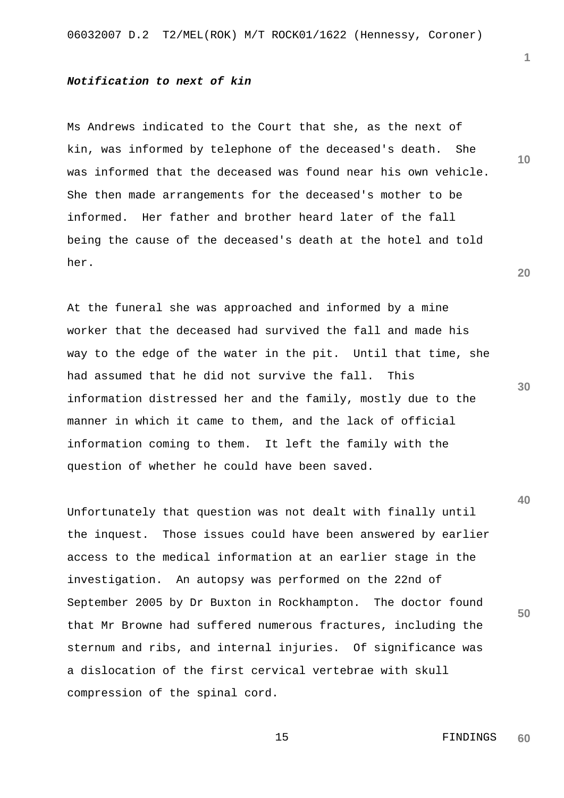# *Notification to next of kin*

Ms Andrews indicated to the Court that she, as the next of kin, was informed by telephone of the deceased's death. She was informed that the deceased was found near his own vehicle. She then made arrangements for the deceased's mother to be informed. Her father and brother heard later of the fall being the cause of the deceased's death at the hotel and told her.

At the funeral she was approached and informed by a mine worker that the deceased had survived the fall and made his way to the edge of the water in the pit. Until that time, she had assumed that he did not survive the fall. This information distressed her and the family, mostly due to the manner in which it came to them, and the lack of official information coming to them. It left the family with the question of whether he could have been saved.

Unfortunately that question was not dealt with finally until the inquest. Those issues could have been answered by earlier access to the medical information at an earlier stage in the investigation. An autopsy was performed on the 22nd of September 2005 by Dr Buxton in Rockhampton. The doctor found that Mr Browne had suffered numerous fractures, including the sternum and ribs, and internal injuries. Of significance was a dislocation of the first cervical vertebrae with skull compression of the spinal cord.

```
 15 FINDINGS 
     60
```
**20**

**40**

**50**

**30**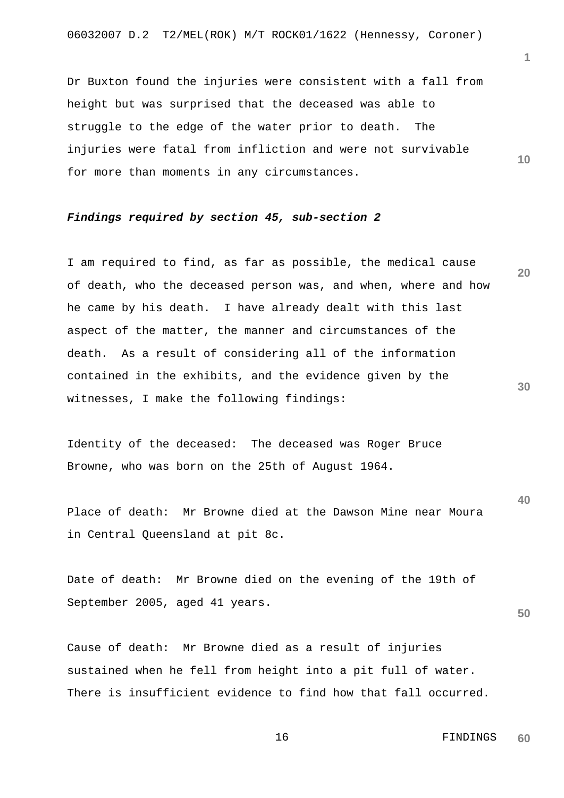Dr Buxton found the injuries were consistent with a fall from height but was surprised that the deceased was able to struggle to the edge of the water prior to death. The injuries were fatal from infliction and were not survivable for more than moments in any circumstances.

# *Findings required by section 45, sub-section 2*

**20 30** I am required to find, as far as possible, the medical cause of death, who the deceased person was, and when, where and how he came by his death. I have already dealt with this last aspect of the matter, the manner and circumstances of the death. As a result of considering all of the information contained in the exhibits, and the evidence given by the witnesses, I make the following findings:

Identity of the deceased: The deceased was Roger Bruce Browne, who was born on the 25th of August 1964.

Place of death: Mr Browne died at the Dawson Mine near Moura in Central Queensland at pit 8c.

Date of death: Mr Browne died on the evening of the 19th of September 2005, aged 41 years.

**50**

**40**

Cause of death: Mr Browne died as a result of injuries sustained when he fell from height into a pit full of water. There is insufficient evidence to find how that fall occurred. **1**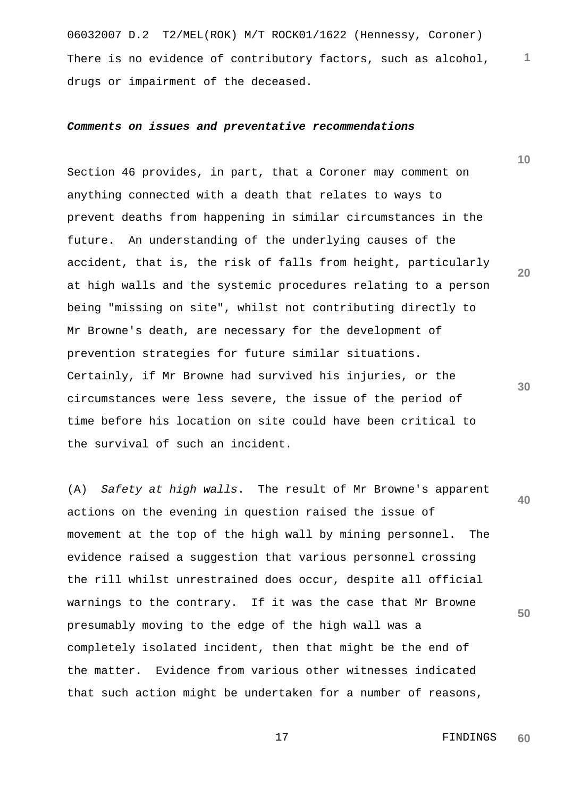06032007 D.2 T2/MEL(ROK) M/T ROCK01/1622 (Hennessy, Coroner) **1** There is no evidence of contributory factors, such as alcohol, drugs or impairment of the deceased.

#### *Comments on issues and preventative recommendations*

Section 46 provides, in part, that a Coroner may comment on anything connected with a death that relates to ways to prevent deaths from happening in similar circumstances in the future. An understanding of the underlying causes of the accident, that is, the risk of falls from height, particularly at high walls and the systemic procedures relating to a person being "missing on site", whilst not contributing directly to Mr Browne's death, are necessary for the development of prevention strategies for future similar situations. Certainly, if Mr Browne had survived his injuries, or the circumstances were less severe, the issue of the period of time before his location on site could have been critical to the survival of such an incident.

**40 50** (A) *Safety at high walls*. The result of Mr Browne's apparent actions on the evening in question raised the issue of movement at the top of the high wall by mining personnel. The evidence raised a suggestion that various personnel crossing the rill whilst unrestrained does occur, despite all official warnings to the contrary. If it was the case that Mr Browne presumably moving to the edge of the high wall was a completely isolated incident, then that might be the end of the matter. Evidence from various other witnesses indicated that such action might be undertaken for a number of reasons,

> 17 FINDINGS **60**

**10**

**20**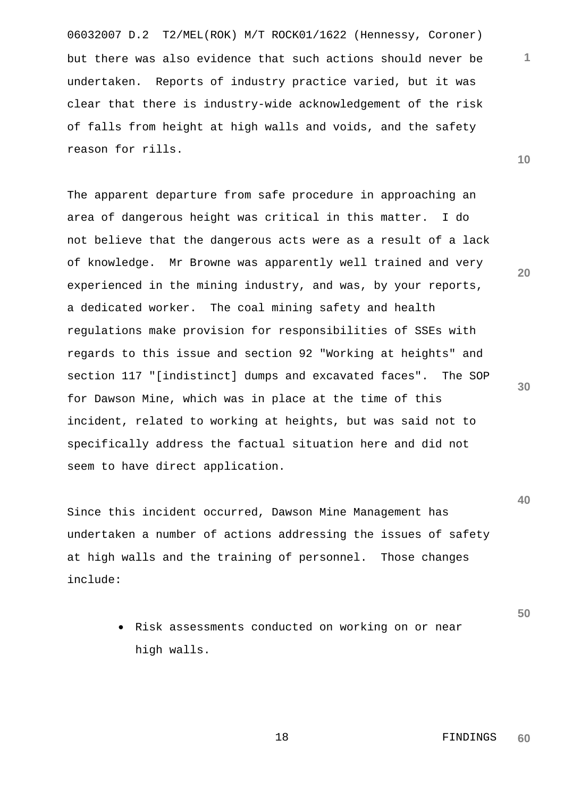06032007 D.2 T2/MEL(ROK) M/T ROCK01/1622 (Hennessy, Coroner) but there was also evidence that such actions should never be undertaken. Reports of industry practice varied, but it was clear that there is industry-wide acknowledgement of the risk of falls from height at high walls and voids, and the safety reason for rills.

The apparent departure from safe procedure in approaching an area of dangerous height was critical in this matter. I do not believe that the dangerous acts were as a result of a lack of knowledge. Mr Browne was apparently well trained and very experienced in the mining industry, and was, by your reports, a dedicated worker. The coal mining safety and health regulations make provision for responsibilities of SSEs with regards to this issue and section 92 "Working at heights" and section 117 "[indistinct] dumps and excavated faces". The SOP for Dawson Mine, which was in place at the time of this incident, related to working at heights, but was said not to specifically address the factual situation here and did not seem to have direct application.

Since this incident occurred, Dawson Mine Management has undertaken a number of actions addressing the issues of safety at high walls and the training of personnel. Those changes include:

> • Risk assessments conducted on working on or near high walls.

**50**

**40**

**10**

**1**

**20**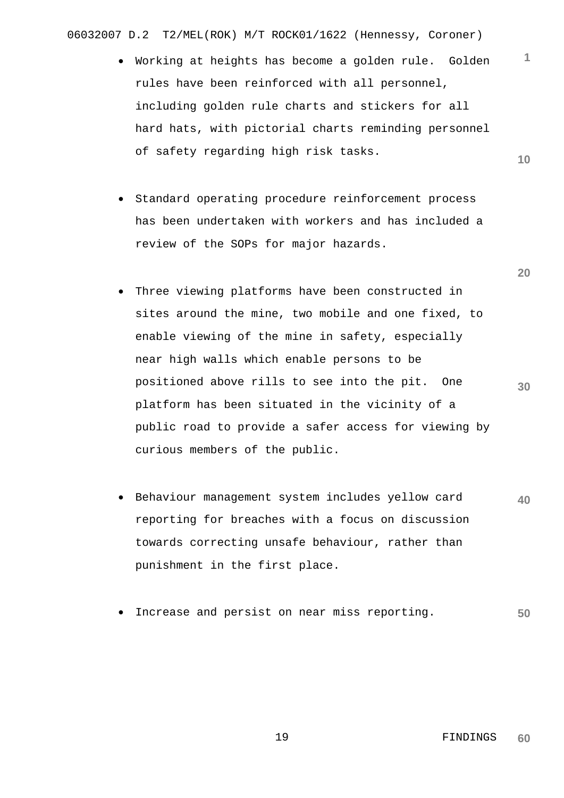06032007 D.2 T2/MEL(ROK) M/T ROCK01/1622 (Hennessy, Coroner)

- **10** • Working at heights has become a golden rule. Golden rules have been reinforced with all personnel, including golden rule charts and stickers for all hard hats, with pictorial charts reminding personnel of safety regarding high risk tasks.
- Standard operating procedure reinforcement process has been undertaken with workers and has included a review of the SOPs for major hazards.
- Three viewing platforms have been constructed in sites around the mine, two mobile and one fixed, to enable viewing of the mine in safety, especially near high walls which enable persons to be positioned above rills to see into the pit. One platform has been situated in the vicinity of a public road to provide a safer access for viewing by curious members of the public.
- **40** • Behaviour management system includes yellow card reporting for breaches with a focus on discussion towards correcting unsafe behaviour, rather than punishment in the first place.
- **50** Increase and persist on near miss reporting.

**20**

**1**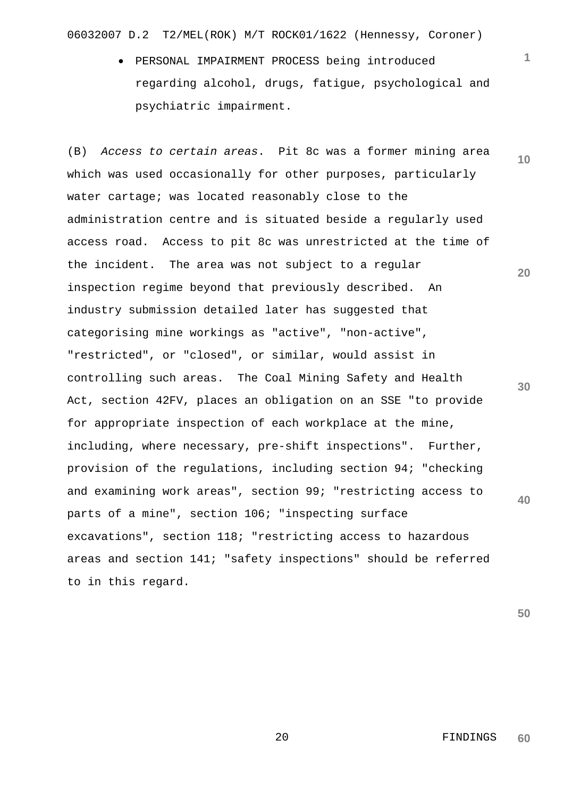06032007 D.2 T2/MEL(ROK) M/T ROCK01/1622 (Hennessy, Coroner)

• PERSONAL IMPAIRMENT PROCESS being introduced regarding alcohol, drugs, fatigue, psychological and psychiatric impairment.

**10 20 30 40** (B) *Access to certain areas*. Pit 8c was a former mining area which was used occasionally for other purposes, particularly water cartage; was located reasonably close to the administration centre and is situated beside a regularly used access road. Access to pit 8c was unrestricted at the time of the incident. The area was not subject to a regular inspection regime beyond that previously described. An industry submission detailed later has suggested that categorising mine workings as "active", "non-active", "restricted", or "closed", or similar, would assist in controlling such areas. The Coal Mining Safety and Health Act, section 42FV, places an obligation on an SSE "to provide for appropriate inspection of each workplace at the mine, including, where necessary, pre-shift inspections". Further, provision of the regulations, including section 94; "checking and examining work areas", section 99; "restricting access to parts of a mine", section 106; "inspecting surface excavations", section 118; "restricting access to hazardous areas and section 141; "safety inspections" should be referred to in this regard.

**50**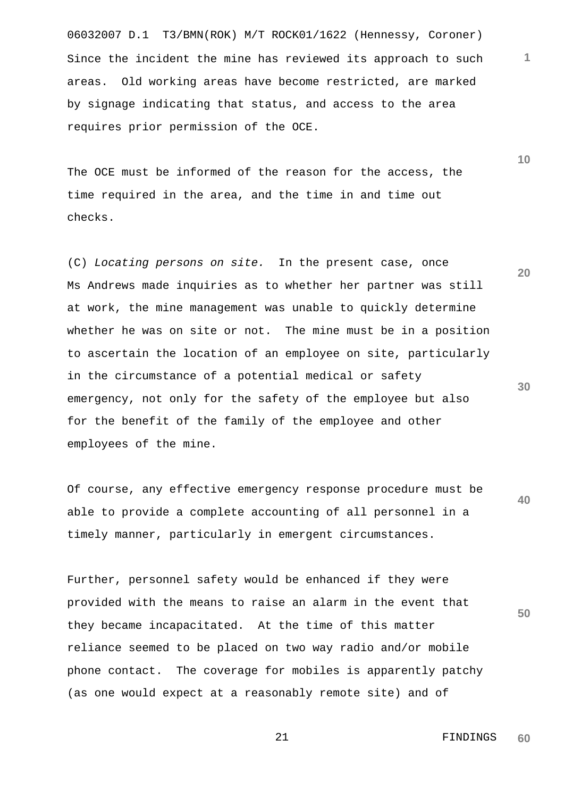06032007 D.1 T3/BMN(ROK) M/T ROCK01/1622 (Hennessy, Coroner) Since the incident the mine has reviewed its approach to such areas. Old working areas have become restricted, are marked by signage indicating that status, and access to the area requires prior permission of the OCE.

The OCE must be informed of the reason for the access, the time required in the area, and the time in and time out checks.

(C) *Locating persons on site.* In the present case, once Ms Andrews made inquiries as to whether her partner was still at work, the mine management was unable to quickly determine whether he was on site or not. The mine must be in a position to ascertain the location of an employee on site, particularly in the circumstance of a potential medical or safety emergency, not only for the safety of the employee but also for the benefit of the family of the employee and other employees of the mine.

**40** Of course, any effective emergency response procedure must be able to provide a complete accounting of all personnel in a timely manner, particularly in emergent circumstances.

Further, personnel safety would be enhanced if they were provided with the means to raise an alarm in the event that they became incapacitated. At the time of this matter reliance seemed to be placed on two way radio and/or mobile phone contact. The coverage for mobiles is apparently patchy (as one would expect at a reasonably remote site) and of

> 21 FINDINGS **60**

**20**

**10**

**1**

**30**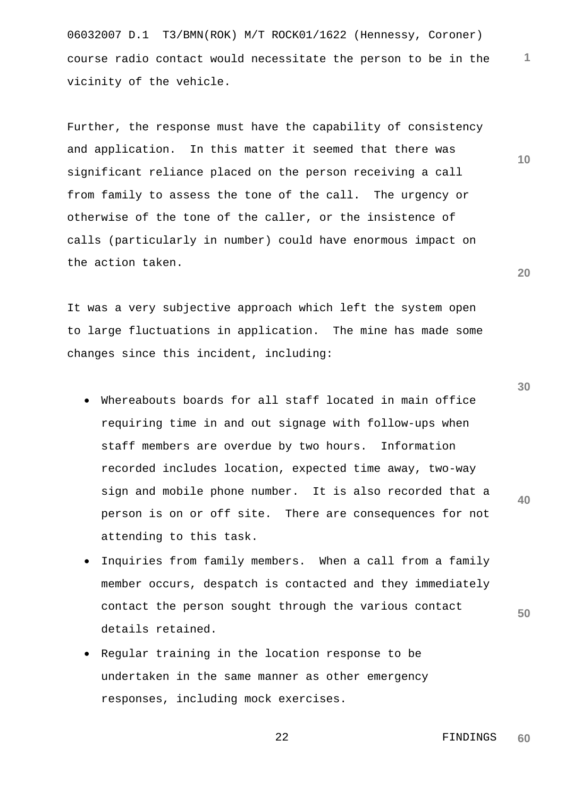06032007 D.1 T3/BMN(ROK) M/T ROCK01/1622 (Hennessy, Coroner) **1** course radio contact would necessitate the person to be in the vicinity of the vehicle.

Further, the response must have the capability of consistency and application. In this matter it seemed that there was significant reliance placed on the person receiving a call from family to assess the tone of the call. The urgency or otherwise of the tone of the caller, or the insistence of calls (particularly in number) could have enormous impact on the action taken.

It was a very subjective approach which left the system open to large fluctuations in application. The mine has made some changes since this incident, including:

- Whereabouts boards for all staff located in main office requiring time in and out signage with follow-ups when staff members are overdue by two hours. Information recorded includes location, expected time away, two-way sign and mobile phone number. It is also recorded that a person is on or off site. There are consequences for not attending to this task.
- Inquiries from family members. When a call from a family member occurs, despatch is contacted and they immediately contact the person sought through the various contact details retained.
- Regular training in the location response to be undertaken in the same manner as other emergency responses, including mock exercises.

**30**

**10**

**20**

**40**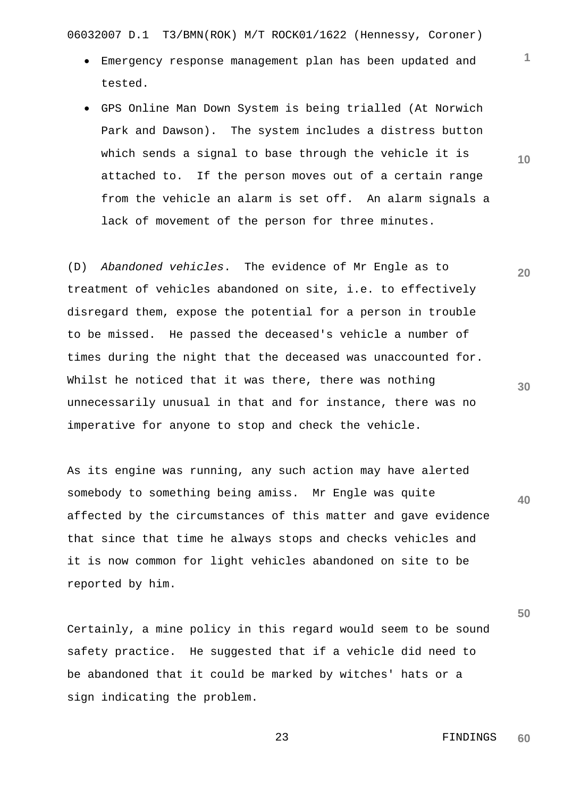06032007 D.1 T3/BMN(ROK) M/T ROCK01/1622 (Hennessy, Coroner)

- Emergency response management plan has been updated and tested.
- GPS Online Man Down System is being trialled (At Norwich Park and Dawson). The system includes a distress button which sends a signal to base through the vehicle it is attached to. If the person moves out of a certain range from the vehicle an alarm is set off. An alarm signals a lack of movement of the person for three minutes.

(D) *Abandoned vehicles*. The evidence of Mr Engle as to treatment of vehicles abandoned on site, i.e. to effectively disregard them, expose the potential for a person in trouble to be missed. He passed the deceased's vehicle a number of times during the night that the deceased was unaccounted for. Whilst he noticed that it was there, there was nothing unnecessarily unusual in that and for instance, there was no imperative for anyone to stop and check the vehicle.

**40** As its engine was running, any such action may have alerted somebody to something being amiss. Mr Engle was quite affected by the circumstances of this matter and gave evidence that since that time he always stops and checks vehicles and it is now common for light vehicles abandoned on site to be reported by him.

Certainly, a mine policy in this regard would seem to be sound safety practice. He suggested that if a vehicle did need to be abandoned that it could be marked by witches' hats or a sign indicating the problem.

**10**

**1**

**20**

**30**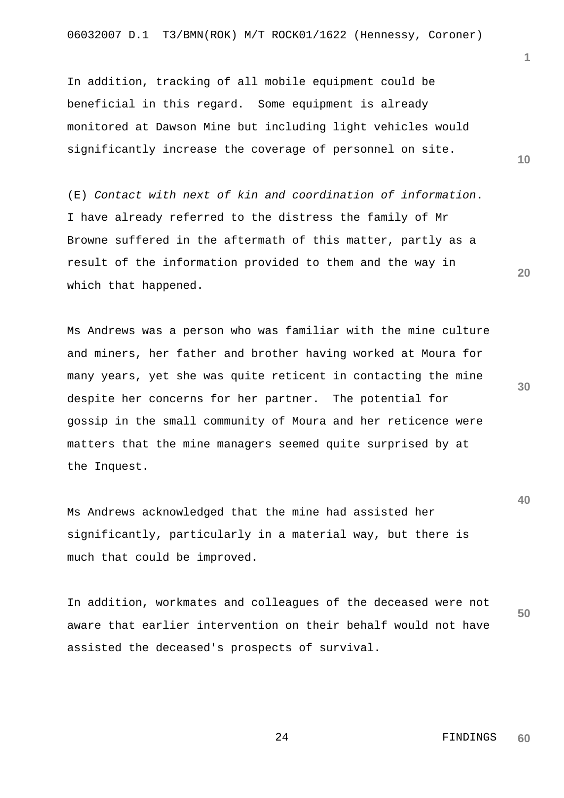In addition, tracking of all mobile equipment could be beneficial in this regard. Some equipment is already monitored at Dawson Mine but including light vehicles would significantly increase the coverage of personnel on site.

(E) *Contact with next of kin and coordination of information*. I have already referred to the distress the family of Mr Browne suffered in the aftermath of this matter, partly as a result of the information provided to them and the way in which that happened.

Ms Andrews was a person who was familiar with the mine culture and miners, her father and brother having worked at Moura for many years, yet she was quite reticent in contacting the mine despite her concerns for her partner. The potential for gossip in the small community of Moura and her reticence were matters that the mine managers seemed quite surprised by at the Inquest.

Ms Andrews acknowledged that the mine had assisted her significantly, particularly in a material way, but there is much that could be improved.

**50** In addition, workmates and colleagues of the deceased were not aware that earlier intervention on their behalf would not have assisted the deceased's prospects of survival.

**10**

**1**

**30**

**40**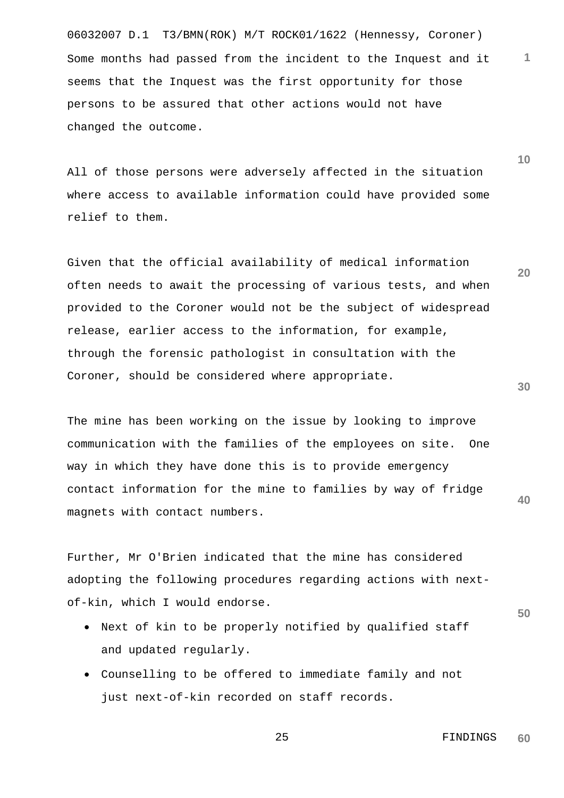06032007 D.1 T3/BMN(ROK) M/T ROCK01/1622 (Hennessy, Coroner) Some months had passed from the incident to the Inquest and it seems that the Inquest was the first opportunity for those persons to be assured that other actions would not have changed the outcome.

All of those persons were adversely affected in the situation where access to available information could have provided some relief to them.

Given that the official availability of medical information often needs to await the processing of various tests, and when provided to the Coroner would not be the subject of widespread release, earlier access to the information, for example, through the forensic pathologist in consultation with the Coroner, should be considered where appropriate.

The mine has been working on the issue by looking to improve communication with the families of the employees on site. One way in which they have done this is to provide emergency contact information for the mine to families by way of fridge magnets with contact numbers.

Further, Mr O'Brien indicated that the mine has considered adopting the following procedures regarding actions with nextof-kin, which I would endorse.

- Next of kin to be properly notified by qualified staff and updated regularly.
- Counselling to be offered to immediate family and not just next-of-kin recorded on staff records.

**30**

**40**

**20**

**1**

**10**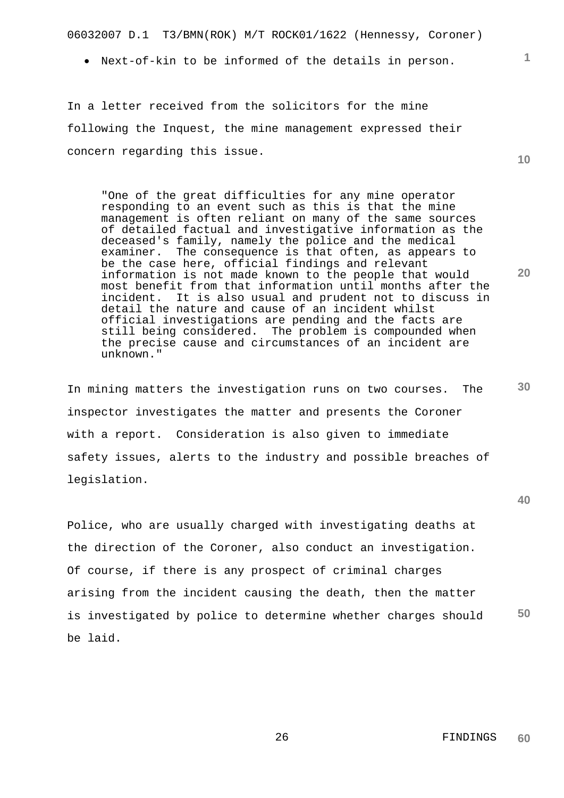06032007 D.1 T3/BMN(ROK) M/T ROCK01/1622 (Hennessy, Coroner)

• Next-of-kin to be informed of the details in person.

In a letter received from the solicitors for the mine following the Inquest, the mine management expressed their concern regarding this issue.

"One of the great difficulties for any mine operator responding to an event such as this is that the mine management is often reliant on many of the same sources of detailed factual and investigative information as the deceased's family, namely the police and the medical examiner. The consequence is that often, as appears to be the case here, official findings and relevant information is not made known to the people that would most benefit from that information until months after the incident. It is also usual and prudent not to discuss in detail the nature and cause of an incident whilst official investigations are pending and the facts are still being considered. The problem is compounded when the precise cause and circumstances of an incident are unknown."

**30** In mining matters the investigation runs on two courses. The inspector investigates the matter and presents the Coroner with a report. Consideration is also given to immediate safety issues, alerts to the industry and possible breaches of legislation.

Police, who are usually charged with investigating deaths at the direction of the Coroner, also conduct an investigation. Of course, if there is any prospect of criminal charges arising from the incident causing the death, then the matter is investigated by police to determine whether charges should be laid.

**40**

**50**

**1**

**10**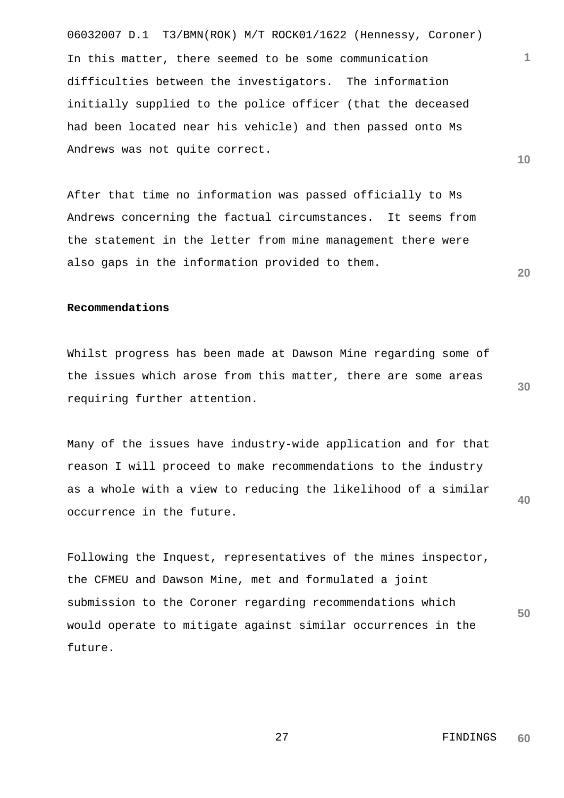06032007 D.1 T3/BMN(ROK) M/T ROCK01/1622 (Hennessy, Coroner) In this matter, there seemed to be some communication difficulties between the investigators. The information initially supplied to the police officer (that the deceased had been located near his vehicle) and then passed onto Ms Andrews was not quite correct.

After that time no information was passed officially to Ms Andrews concerning the factual circumstances. It seems from the statement in the letter from mine management there were also gaps in the information provided to them.

# **Recommendations**

Whilst progress has been made at Dawson Mine regarding some of the issues which arose from this matter, there are some areas requiring further attention.

**40** Many of the issues have industry-wide application and for that reason I will proceed to make recommendations to the industry as a whole with a view to reducing the likelihood of a similar occurrence in the future.

Following the Inquest, representatives of the mines inspector, the CFMEU and Dawson Mine, met and formulated a joint submission to the Coroner regarding recommendations which would operate to mitigate against similar occurrences in the future.

**30**

**50**

**1**

**10**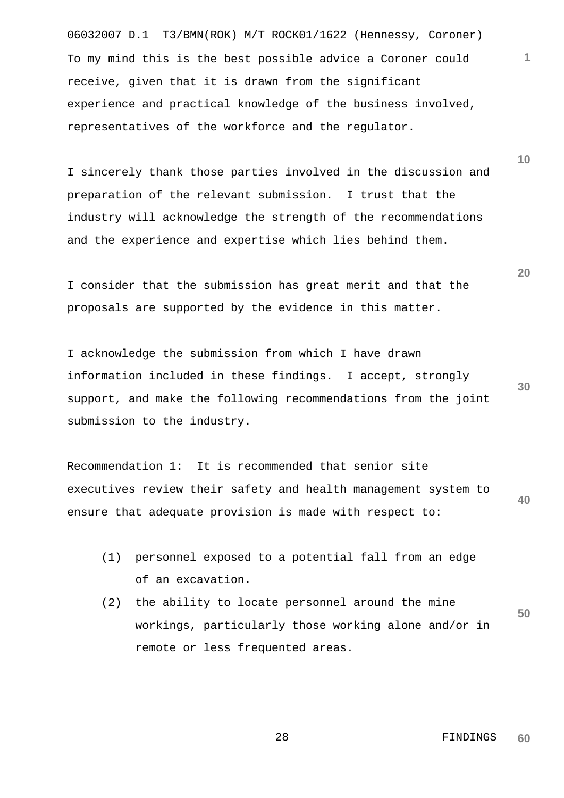06032007 D.1 T3/BMN(ROK) M/T ROCK01/1622 (Hennessy, Coroner) To my mind this is the best possible advice a Coroner could receive, given that it is drawn from the significant experience and practical knowledge of the business involved, representatives of the workforce and the regulator.

I sincerely thank those parties involved in the discussion and preparation of the relevant submission. I trust that the industry will acknowledge the strength of the recommendations and the experience and expertise which lies behind them.

I consider that the submission has great merit and that the proposals are supported by the evidence in this matter.

I acknowledge the submission from which I have drawn information included in these findings. I accept, strongly support, and make the following recommendations from the joint submission to the industry.

**40** Recommendation 1: It is recommended that senior site executives review their safety and health management system to ensure that adequate provision is made with respect to:

- (1) personnel exposed to a potential fall from an edge of an excavation.
- **50** (2) the ability to locate personnel around the mine workings, particularly those working alone and/or in remote or less frequented areas.

**20**

**10**

**1**